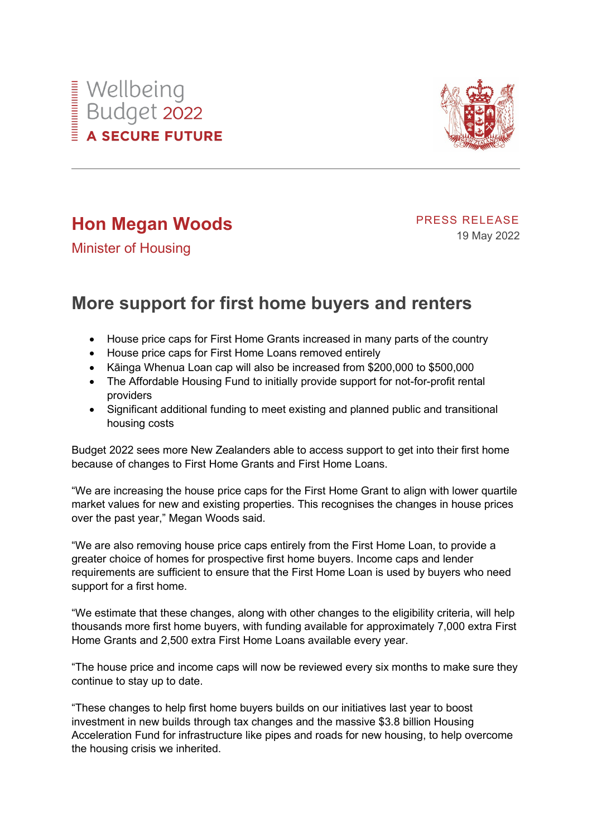



# **Hon Megan Woods**

PRESS RELEASE 19 May 2022

Minister of Housing

## **More support for first home buyers and renters**

- House price caps for First Home Grants increased in many parts of the country
- House price caps for First Home Loans removed entirely
- Kāinga Whenua Loan cap will also be increased from \$200,000 to \$500,000
- The Affordable Housing Fund to initially provide support for not-for-profit rental providers
- Significant additional funding to meet existing and planned public and transitional housing costs

Budget 2022 sees more New Zealanders able to access support to get into their first home because of changes to First Home Grants and First Home Loans.

"We are increasing the house price caps for the First Home Grant to align with lower quartile market values for new and existing properties. This recognises the changes in house prices over the past year," Megan Woods said.

"We are also removing house price caps entirely from the First Home Loan, to provide a greater choice of homes for prospective first home buyers. Income caps and lender requirements are sufficient to ensure that the First Home Loan is used by buyers who need support for a first home.

"We estimate that these changes, along with other changes to the eligibility criteria, will help thousands more first home buyers, with funding available for approximately 7,000 extra First Home Grants and 2,500 extra First Home Loans available every year.

"The house price and income caps will now be reviewed every six months to make sure they continue to stay up to date.

"These changes to help first home buyers builds on our initiatives last year to boost investment in new builds through tax changes and the massive \$3.8 billion Housing Acceleration Fund for infrastructure like pipes and roads for new housing, to help overcome the housing crisis we inherited.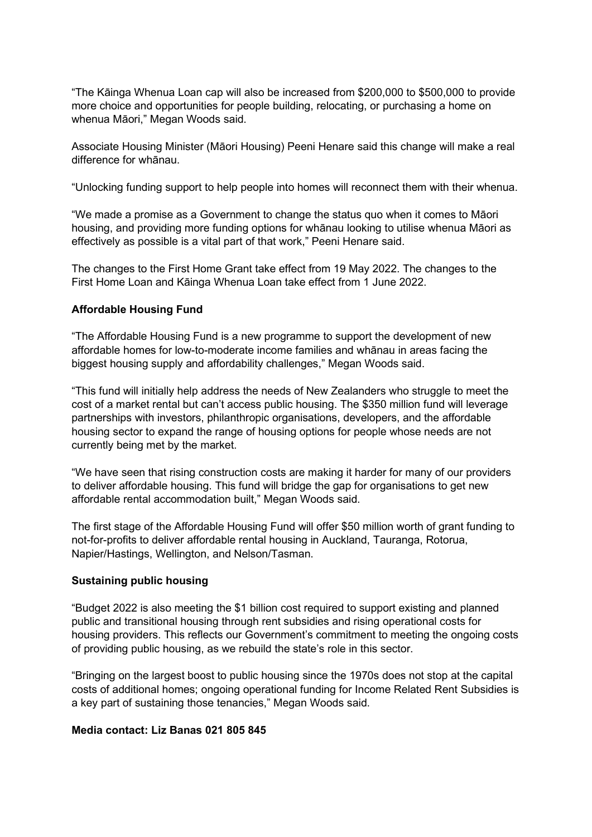"The Kāinga Whenua Loan cap will also be increased from \$200,000 to \$500,000 to provide more choice and opportunities for people building, relocating, or purchasing a home on whenua Māori," Megan Woods said.

Associate Housing Minister (Māori Housing) Peeni Henare said this change will make a real difference for whānau.

"Unlocking funding support to help people into homes will reconnect them with their whenua.

"We made a promise as a Government to change the status quo when it comes to Māori housing, and providing more funding options for whānau looking to utilise whenua Māori as effectively as possible is a vital part of that work," Peeni Henare said.

The changes to the First Home Grant take effect from 19 May 2022. The changes to the First Home Loan and Kāinga Whenua Loan take effect from 1 June 2022.

#### **Affordable Housing Fund**

"The Affordable Housing Fund is a new programme to support the development of new affordable homes for low-to-moderate income families and whānau in areas facing the biggest housing supply and affordability challenges," Megan Woods said.

"This fund will initially help address the needs of New Zealanders who struggle to meet the cost of a market rental but can't access public housing. The \$350 million fund will leverage partnerships with investors, philanthropic organisations, developers, and the affordable housing sector to expand the range of housing options for people whose needs are not currently being met by the market.

"We have seen that rising construction costs are making it harder for many of our providers to deliver affordable housing. This fund will bridge the gap for organisations to get new affordable rental accommodation built," Megan Woods said.

The first stage of the Affordable Housing Fund will offer \$50 million worth of grant funding to not-for-profits to deliver affordable rental housing in Auckland, Tauranga, Rotorua, Napier/Hastings, Wellington, and Nelson/Tasman.

#### **Sustaining public housing**

"Budget 2022 is also meeting the \$1 billion cost required to support existing and planned public and transitional housing through rent subsidies and rising operational costs for housing providers. This reflects our Government's commitment to meeting the ongoing costs of providing public housing, as we rebuild the state's role in this sector.

"Bringing on the largest boost to public housing since the 1970s does not stop at the capital costs of additional homes; ongoing operational funding for Income Related Rent Subsidies is a key part of sustaining those tenancies," Megan Woods said.

#### **Media contact: Liz Banas 021 805 845**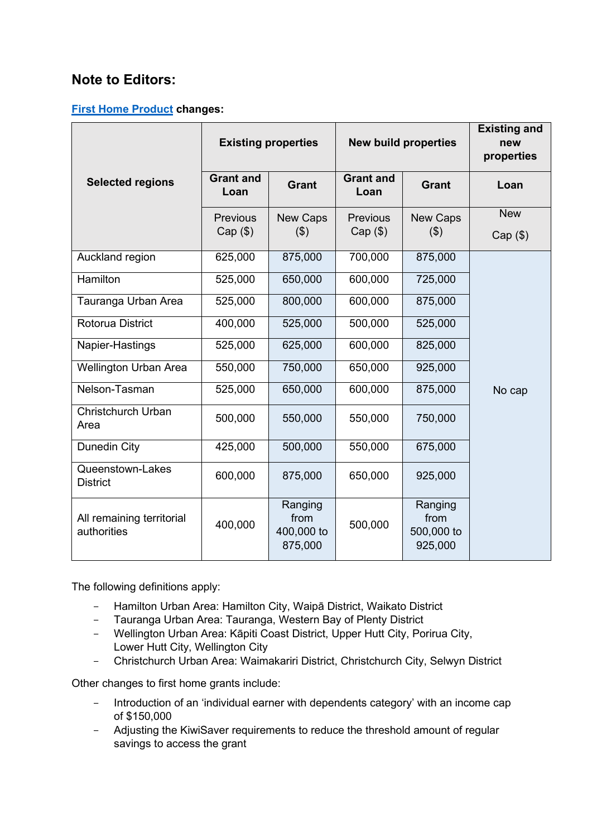### **Note to Editors:**

#### **[First Home Product](https://aus01.safelinks.protection.outlook.com/?url=https%3A%2F%2Fwww.hud.govt.nz%2Fresidential-housing%2Ffirst-home-products%2F&data=05%7C01%7CAndrew.Gregory%40hud.govt.nz%7C3ecb137d79634b8c7abb08da3919950b%7C9e9b30203d3848a69064373bc7b156dc%7C0%7C0%7C637885079283029260%7CUnknown%7CTWFpbGZsb3d8eyJWIjoiMC4wLjAwMDAiLCJQIjoiV2luMzIiLCJBTiI6Ik1haWwiLCJXVCI6Mn0%3D%7C3000%7C%7C%7C&sdata=7StOAFRMsI9DvNNDN0WCNGoo4NA7EiXcLdwpBWyuNus%3D&reserved=0) changes:**

|                                          | <b>Existing properties</b> |                                          | <b>New build properties</b> |                                          | <b>Existing and</b><br>new<br>properties |
|------------------------------------------|----------------------------|------------------------------------------|-----------------------------|------------------------------------------|------------------------------------------|
| <b>Selected regions</b>                  | <b>Grant and</b><br>Loan   | <b>Grant</b>                             | <b>Grant and</b><br>Loan    | <b>Grant</b>                             | Loan                                     |
|                                          | <b>Previous</b>            | New Caps                                 | <b>Previous</b>             | New Caps                                 | <b>New</b>                               |
|                                          | $Cap($ \$)                 | $($ \$)                                  | $Cap($ \$)                  | (3)                                      | $Cap($ \$)                               |
| Auckland region                          | 625,000                    | 875,000                                  | 700,000                     | 875,000                                  |                                          |
| Hamilton                                 | 525,000                    | 650,000                                  | 600,000                     | 725,000                                  |                                          |
| Tauranga Urban Area                      | 525,000                    | 800,000                                  | 600,000                     | 875,000                                  |                                          |
| Rotorua District                         | 400,000                    | 525,000                                  | 500,000                     | 525,000                                  |                                          |
| Napier-Hastings                          | 525,000                    | 625,000                                  | 600,000                     | 825,000                                  |                                          |
| <b>Wellington Urban Area</b>             | 550,000                    | 750,000                                  | 650,000                     | 925,000                                  |                                          |
| Nelson-Tasman                            | 525,000                    | 650,000                                  | 600,000                     | 875,000                                  | No cap                                   |
| <b>Christchurch Urban</b><br>Area        | 500,000                    | 550,000                                  | 550,000                     | 750,000                                  |                                          |
| <b>Dunedin City</b>                      | 425,000                    | 500,000                                  | 550,000                     | 675,000                                  |                                          |
| Queenstown-Lakes<br><b>District</b>      | 600,000                    | 875,000                                  | 650,000                     | 925,000                                  |                                          |
| All remaining territorial<br>authorities | 400,000                    | Ranging<br>from<br>400,000 to<br>875,000 | 500,000                     | Ranging<br>from<br>500,000 to<br>925,000 |                                          |

The following definitions apply:

- Hamilton Urban Area: Hamilton City, Waipā District, Waikato District<br>- Tauranga Urban Area: Tauranga. Western Bay of Plenty District
- Tauranga Urban Area: Tauranga, Western Bay of Plenty District
- Wellington Urban Area: Kāpiti Coast District, Upper Hutt City, Porirua City, Lower Hutt City, Wellington City
- Christchurch Urban Area: Waimakariri District, Christchurch City, Selwyn District

Other changes to first home grants include:

- Introduction of an 'individual earner with dependents category' with an income cap of \$150,000
- Adjusting the KiwiSaver requirements to reduce the threshold amount of regular savings to access the grant